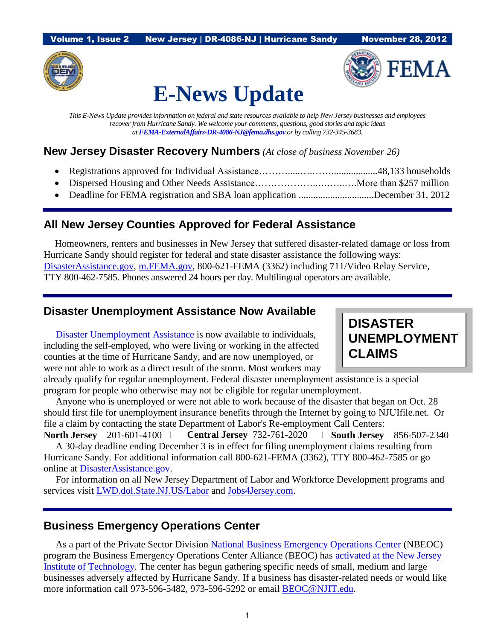Volume 1, Issue 2 New Jersey | DR-4086-NJ | Hurricane Sandy November 28, 2012





# **E-News Update**

*This E-News Update provides information on federal and state resources available to help New Jersey businesses and employees recover from Hurricane Sandy. We welcome your comments, questions, good stories and topic ideas at [FEMA-ExternalAffairs-DR-4086-NJ@fema.dhs.gov](mailto:FEMA-ExternalAffairs-DR-4086-NJ@fema.dhs.gov) or by calling 732-345-3683.*

#### **New Jersey Disaster Recovery Numbers** *(At close of business November 26)*

- Registrations approved for Individual Assistance……….....….……...................48,133 households
- Dispersed Housing and Other Needs Assistance………………..….…..….More than \$257 million
- Deadline for FEMA registration and SBA loan application ...............................December 31, 2012

## **All New Jersey Counties Approved for Federal Assistance**

 Homeowners, renters and businesses in New Jersey that suffered disaster-related damage or loss from Hurricane Sandy should register for federal and state disaster assistance the following ways: [DisasterAssistance.gov,](http://www.disasterassistance.gov/) [m.FEMA.gov,](http://m.fema.gov/) 800-621-FEMA (3362) including 711/Video Relay Service, TTY 800-462-7585. Phones answered 24 hours per day. Multilingual operators are available.

## **Disaster Unemployment Assistance Now Available**

 [Disaster Unemployment](http://www.disasterassistance.gov/) Assistance is now available to individuals, including the self-employed, who were living or working in the affected counties at the time of Hurricane Sandy, and are now unemployed, or were not able to work as a direct result of the storm. Most workers may **DISASTER UNEMPLOYMENT CLAIMS**

already qualify for regular unemployment. Federal disaster unemployment assistance is a special program for people who otherwise may not be eligible for regular unemployment.

 Anyone who is unemployed or were not able to work because of the disaster that began on Oct. 28 should first file for unemployment insurance benefits through the Internet by going to NJUIfile.net. Or file a claim by contacting the state Department of Labor's Re-employment Call Centers:

**North Jersey** 201-601-4100 I **Central Jersey** 732-761-2020 I **South Jersey** 856-507-2340 A 30-day deadline ending December 3 is in effect for filing unemployment claims resulting from Hurricane Sandy. For additional information call 800-621-FEMA (3362), TTY 800-462-7585 or go online at [DisasterAssistance.gov.](http://www.disasterassistance.gov/)

 For information on all New Jersey Department of Labor and Workforce Development programs and services visit [LWD.dol.State.NJ.US/Labor](http://www.lwd.dol.state.nj.us/Labor) and [Jobs4Jersey.com.](http://www.jobs4jersey.com/)

#### **Business Emergency Operations Center**

 As a part of the Private Sector Division [National Business Emergency Operations Center](http://www.fema.gov/library/viewRecord.do?id=6437) (NBEOC) program the Business Emergency Operations Center Alliance (BEOC) has [activated at the New Jersey](http://www.fema.gov/pdf/privatesector/beoc_partnership.pdf)  [Institute of Technology.](http://www.fema.gov/pdf/privatesector/beoc_partnership.pdf) The center has begun gathering specific needs of small, medium and large businesses adversely affected by Hurricane Sandy. If a business has disaster-related needs or would like more information call 973-596-5482, 973-596-5292 or email [BEOC@NJIT.edu.](mailto:BEOC@NJIT.edu)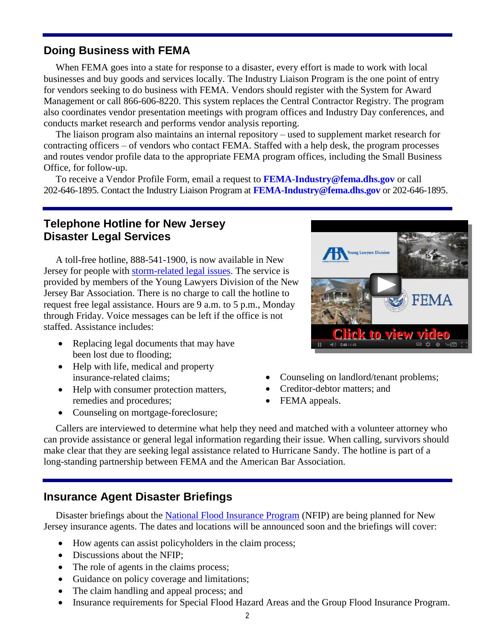#### **Doing Business with FEMA**

 When FEMA goes into a state for response to a disaster, every effort is made to work with local businesses and buy goods and services locally. The Industry Liaison Program is the one point of entry for vendors seeking to do business with FEMA. Vendors should register with the System for Award Management or call 866-606-8220. This system replaces the Central Contractor Registry. The program also coordinates vendor presentation meetings with program offices and Industry Day conferences, and conducts market research and performs vendor analysis reporting.

 The liaison program also maintains an internal repository – used to supplement market research for contracting officers – of vendors who contact FEMA. Staffed with a help desk, the program processes and routes vendor profile data to the appropriate FEMA program offices, including the Small Business Office, for follow-up.

 To receive a Vendor Profile Form, email a request to **[FEMA-Industry@fema.dhs.gov](mailto:FEMA-Industry@fema.dhs.gov)** or call 202-646-1895. Contact the Industry Liaison Program at **[FEMA-Industry@fema.dhs.gov](mailto:FEMA-Industry@fema.dhs.gov)** or 202-646-1895.

#### **Telephone Hotline for New Jersey Disaster Legal Services**

 A toll-free hotline, 888-541-1900, is now available in New Jersey for people with [storm-related legal issues.](http://www.youtube.com/watch?v=8B60JDjMK5U) The service is provided by members of the Young Lawyers Division of the New Jersey Bar Association. There is no charge to call the hotline to request free legal assistance. Hours are 9 a.m. to 5 p.m., Monday through Friday. Voice messages can be left if the office is not staffed. Assistance includes:

- Replacing legal documents that may have been lost due to flooding;
- Help with life, medical and property insurance-related claims;
- Help with consumer protection matters, remedies and procedures;
- Counseling on mortgage-foreclosure;



- Counseling on landlord/tenant problems;
- Creditor-debtor matters; and
- FEMA appeals.

 Callers are interviewed to determine what help they need and matched with a volunteer attorney who can provide assistance or general legal information regarding their issue. When calling, survivors should make clear that they are seeking legal assistance related to Hurricane Sandy. The hotline is part of a long-standing partnership between FEMA and the American Bar Association.

#### **Insurance Agent Disaster Briefings**

Disaster briefings about the [National Flood Insurance Program](http://www.fema.gov/national-flood-insurance-program) (NFIP) are being planned for New Jersey insurance agents. The dates and locations will be announced soon and the briefings will cover:

- How agents can assist policyholders in the claim process;
- Discussions about the NFIP;
- The role of agents in the claims process;
- Guidance on policy coverage and limitations;
- The claim handling and appeal process; and
- Insurance requirements for Special Flood Hazard Areas and the Group Flood Insurance Program.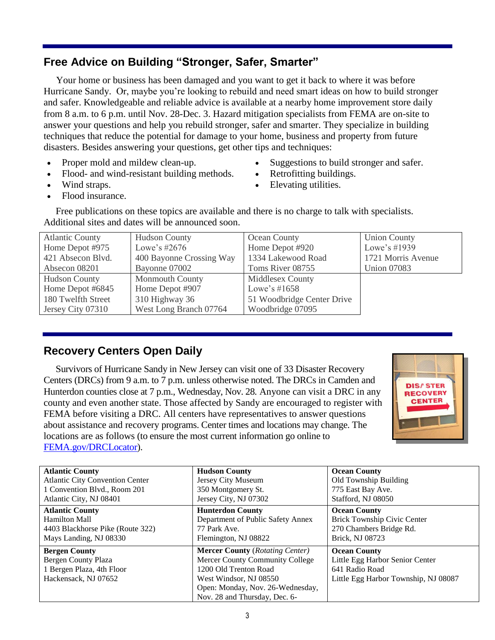# **Free Advice on Building "Stronger, Safer, Smarter"**

Your home or business has been damaged and you want to get it back to where it was before Hurricane Sandy. Or, maybe you're looking to rebuild and need smart ideas on how to build stronger and safer. Knowledgeable and reliable advice is available at a nearby home improvement store daily from 8 a.m. to 6 p.m. until Nov. 28-Dec. 3. Hazard mitigation specialists from FEMA are on-site to answer your questions and help you rebuild stronger, safer and smarter. They specialize in building techniques that reduce the potential for damage to your home, business and property from future disasters. Besides answering your questions, get other tips and techniques:

- Proper mold and mildew clean-up.  $\bullet$  Suggestions to build stronger and safer.
- Flood- and wind-resistant building methods. Retrofitting buildings.
- 
- 
- Wind straps. **Elevating utilities**.
- Flood insurance.

 Free publications on these topics are available and there is no charge to talk with specialists. Additional sites and dates will be announced soon.

| <b>Atlantic County</b> | <b>Hudson County</b>     | Ocean County               | <b>Union County</b> |
|------------------------|--------------------------|----------------------------|---------------------|
| Home Depot #975        | Lowe's $\#2676$          | Home Depot #920            | Lowe's $\#1939$     |
| 421 Absecon Blvd.      | 400 Bayonne Crossing Way | 1334 Lakewood Road         | 1721 Morris Avenue  |
| Absecon 08201          | Bayonne 07002            | Toms River 08755           | <b>Union 07083</b>  |
| Hudson County          | <b>Monmouth County</b>   | Middlesex County           |                     |
| Home Depot #6845       | Home Depot #907          | Lowe's $\#1658$            |                     |
| 180 Twelfth Street     | 310 Highway 36           | 51 Woodbridge Center Drive |                     |
| Jersey City 07310      | West Long Branch 07764   | Woodbridge 07095           |                     |

# **Recovery Centers Open Daily**

 Survivors of Hurricane Sandy in New Jersey can visit one of 33 Disaster Recovery Centers (DRCs) from 9 a.m. to 7 p.m. unless otherwise noted. The DRCs in Camden and Hunterdon counties close at 7 p.m., Wednesday, Nov. 28. Anyone can visit a DRC in any county and even another state. Those affected by Sandy are encouraged to register with FEMA before visiting a DRC. All centers have representatives to answer questions about assistance and recovery programs. Center times and locations may change. The locations are as follows (to ensure the most current information go online to [FEMA.gov/DRCLocator\)](http://www.fema.gov/DRCLocator).



| <b>Atlantic County</b>                 | <b>Hudson County</b>                   | <b>Ocean County</b>                  |
|----------------------------------------|----------------------------------------|--------------------------------------|
| <b>Atlantic City Convention Center</b> | Jersey City Museum                     | Old Township Building                |
| 1 Convention Blvd., Room 201           | 350 Montgomery St.                     | 775 East Bay Ave.                    |
| Atlantic City, NJ 08401                | Jersey City, NJ 07302                  | Stafford, NJ 08050                   |
| <b>Atlantic County</b>                 | <b>Hunterdon County</b>                | <b>Ocean County</b>                  |
| Hamilton Mall                          | Department of Public Safety Annex      | Brick Township Civic Center          |
| 4403 Blackhorse Pike (Route 322)       | 77 Park Ave.                           | 270 Chambers Bridge Rd.              |
| Mays Landing, NJ 08330                 | Flemington, NJ 08822                   | Brick, NJ 08723                      |
| <b>Bergen County</b>                   | <b>Mercer County (Rotating Center)</b> | <b>Ocean County</b>                  |
| <b>Bergen County Plaza</b>             | Mercer County Community College        | Little Egg Harbor Senior Center      |
| 1 Bergen Plaza, 4th Floor              | 1200 Old Trenton Road                  | 641 Radio Road                       |
| Hackensack, NJ 07652                   | West Windsor, NJ 08550                 | Little Egg Harbor Township, NJ 08087 |
|                                        | Open: Monday, Nov. 26-Wednesday,       |                                      |
|                                        | Nov. 28 and Thursday, Dec. 6-          |                                      |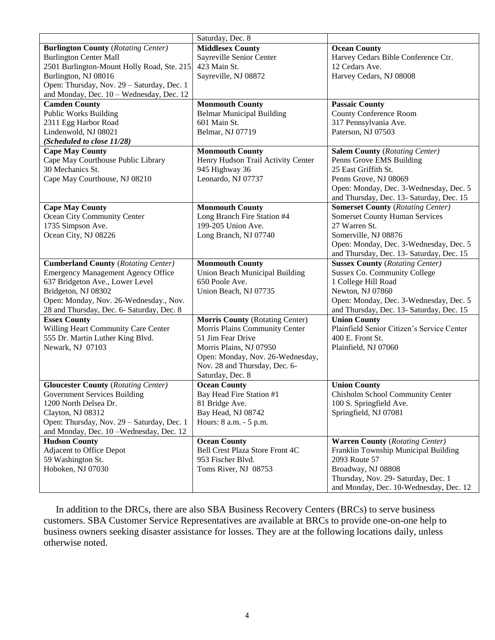|                                            | Saturday, Dec. 8                       |                                            |
|--------------------------------------------|----------------------------------------|--------------------------------------------|
| <b>Burlington County (Rotating Center)</b> | <b>Middlesex County</b>                | <b>Ocean County</b>                        |
| <b>Burlington Center Mall</b>              | Sayreville Senior Center               | Harvey Cedars Bible Conference Ctr.        |
| 2501 Burlington-Mount Holly Road, Ste. 215 | 423 Main St.                           | 12 Cedars Ave.                             |
| Burlington, NJ 08016                       | Sayreville, NJ 08872                   | Harvey Cedars, NJ 08008                    |
| Open: Thursday, Nov. 29 - Saturday, Dec. 1 |                                        |                                            |
| and Monday, Dec. 10 - Wednesday, Dec. 12   |                                        |                                            |
| <b>Camden County</b>                       | <b>Monmouth County</b>                 | <b>Passaic County</b>                      |
| <b>Public Works Building</b>               | <b>Belmar Municipal Building</b>       | <b>County Conference Room</b>              |
| 2311 Egg Harbor Road                       | 601 Main St.                           | 317 Pennsylvania Ave.                      |
| Lindenwold, NJ 08021                       | Belmar, NJ 07719                       | Paterson, NJ 07503                         |
| (Scheduled to close 11/28)                 |                                        |                                            |
| <b>Cape May County</b>                     | <b>Monmouth County</b>                 | <b>Salem County (Rotating Center)</b>      |
| Cape May Courthouse Public Library         | Henry Hudson Trail Activity Center     | Penns Grove EMS Building                   |
| 30 Mechanics St.                           | 945 Highway 36                         | 25 East Griffith St.                       |
| Cape May Courthouse, NJ 08210              | Leonardo, NJ 07737                     | Penns Grove, NJ 08069                      |
|                                            |                                        | Open: Monday, Dec. 3-Wednesday, Dec. 5     |
|                                            |                                        | and Thursday, Dec. 13- Saturday, Dec. 15   |
| <b>Cape May County</b>                     | <b>Monmouth County</b>                 | <b>Somerset County (Rotating Center)</b>   |
| Ocean City Community Center                | Long Branch Fire Station #4            | <b>Somerset County Human Services</b>      |
| 1735 Simpson Ave.                          | 199-205 Union Ave.                     | 27 Warren St.                              |
| Ocean City, NJ 08226                       | Long Branch, NJ 07740                  | Somerville, NJ 08876                       |
|                                            |                                        | Open: Monday, Dec. 3-Wednesday, Dec. 5     |
|                                            |                                        | and Thursday, Dec. 13- Saturday, Dec. 15   |
| <b>Cumberland County (Rotating Center)</b> | <b>Monmouth County</b>                 | <b>Sussex County (Rotating Center)</b>     |
| <b>Emergency Management Agency Office</b>  | Union Beach Municipal Building         | <b>Sussex Co. Community College</b>        |
| 637 Bridgeton Ave., Lower Level            | 650 Poole Ave.                         | 1 College Hill Road                        |
| Bridgeton, NJ 08302                        | Union Beach, NJ 07735                  | Newton, NJ 07860                           |
| Open: Monday, Nov. 26-Wednesday., Nov.     |                                        | Open: Monday, Dec. 3-Wednesday, Dec. 5     |
| 28 and Thursday, Dec. 6- Saturday, Dec. 8  |                                        | and Thursday, Dec. 13- Saturday, Dec. 15   |
| <b>Essex County</b>                        | <b>Morris County (Rotating Center)</b> | <b>Union County</b>                        |
| Willing Heart Community Care Center        | Morris Plains Community Center         | Plainfield Senior Citizen's Service Center |
| 555 Dr. Martin Luther King Blvd.           | 51 Jim Fear Drive                      | 400 E. Front St.                           |
| Newark, NJ 07103                           | Morris Plains, NJ 07950                | Plainfield, NJ 07060                       |
|                                            | Open: Monday, Nov. 26-Wednesday,       |                                            |
|                                            | Nov. 28 and Thursday, Dec. 6-          |                                            |
|                                            | Saturday, Dec. 8                       |                                            |
| <b>Gloucester County (Rotating Center)</b> | <b>Ocean County</b>                    | <b>Union County</b>                        |
| Government Services Building               | Bay Head Fire Station #1               | Chisholm School Community Center           |
| 1200 North Delsea Dr.                      | 81 Bridge Ave.                         | 100 S. Springfield Ave.                    |
| Clayton, NJ 08312                          | Bay Head, NJ 08742                     | Springfield, NJ 07081                      |
| Open: Thursday, Nov. 29 - Saturday, Dec. 1 | Hours: 8 a.m. - 5 p.m.                 |                                            |
| and Monday, Dec. 10-Wednesday, Dec. 12     |                                        |                                            |
| <b>Hudson County</b>                       | <b>Ocean County</b>                    | <b>Warren County (Rotating Center)</b>     |
| <b>Adjacent to Office Depot</b>            | Bell Crest Plaza Store Front 4C        | Franklin Township Municipal Building       |
| 59 Washington St.                          | 953 Fischer Blvd.                      | 2093 Route 57                              |
| Hoboken, NJ 07030                          | Toms River, NJ 08753                   | Broadway, NJ 08808                         |
|                                            |                                        | Thursday, Nov. 29- Saturday, Dec. 1        |
|                                            |                                        | and Monday, Dec. 10-Wednesday, Dec. 12     |

 In addition to the DRCs, there are also SBA Business Recovery Centers (BRCs) to serve business customers. SBA Customer Service Representatives are available at BRCs to provide one-on-one help to business owners seeking disaster assistance for losses. They are at the following locations daily, unless otherwise noted.